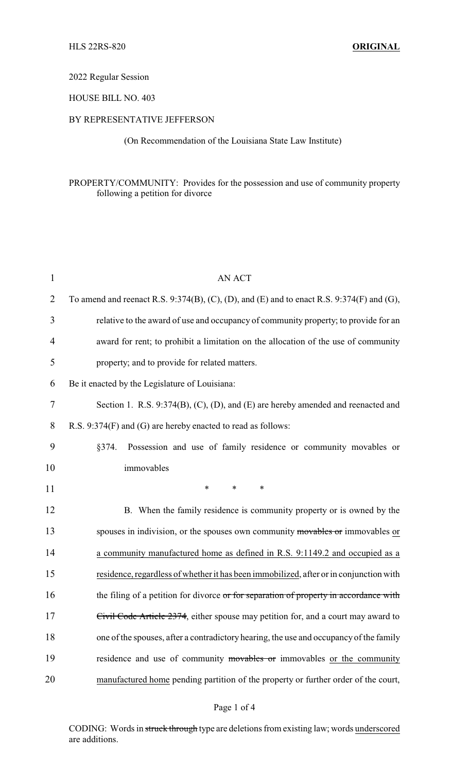# 2022 Regular Session

## HOUSE BILL NO. 403

### BY REPRESENTATIVE JEFFERSON

(On Recommendation of the Louisiana State Law Institute)

## PROPERTY/COMMUNITY: Provides for the possession and use of community property following a petition for divorce

| $\mathbf{1}$ | <b>AN ACT</b>                                                                             |
|--------------|-------------------------------------------------------------------------------------------|
| 2            | To amend and reenact R.S. 9:374(B), (C), (D), and (E) and to enact R.S. 9:374(F) and (G), |
| 3            | relative to the award of use and occupancy of community property; to provide for an       |
| 4            | award for rent; to prohibit a limitation on the allocation of the use of community        |
| 5            | property; and to provide for related matters.                                             |
| 6            | Be it enacted by the Legislature of Louisiana:                                            |
| $\tau$       | Section 1. R.S. 9:374(B), (C), (D), and (E) are hereby amended and reenacted and          |
| 8            | R.S. 9:374(F) and (G) are hereby enacted to read as follows:                              |
| 9            | Possession and use of family residence or community movables or<br>§374.                  |
| 10           | immovables                                                                                |
| 11           | $\ast$<br>$\ast$<br>*                                                                     |
| 12           | B. When the family residence is community property or is owned by the                     |
| 13           | spouses in indivision, or the spouses own community movables or immovables or             |
| 14           | a community manufactured home as defined in R.S. 9:1149.2 and occupied as a               |
| 15           | residence, regardless of whether it has been immobilized, after or in conjunction with    |
| 16           | the filing of a petition for divorce or for separation of property in accordance with     |
| 17           | Civil Code Article 2374, either spouse may petition for, and a court may award to         |
| 18           | one of the spouses, after a contradictory hearing, the use and occupancy of the family    |
| 19           | residence and use of community movables or immovables or the community                    |
| 20           | manufactured home pending partition of the property or further order of the court,        |

### Page 1 of 4

CODING: Words in struck through type are deletions from existing law; words underscored are additions.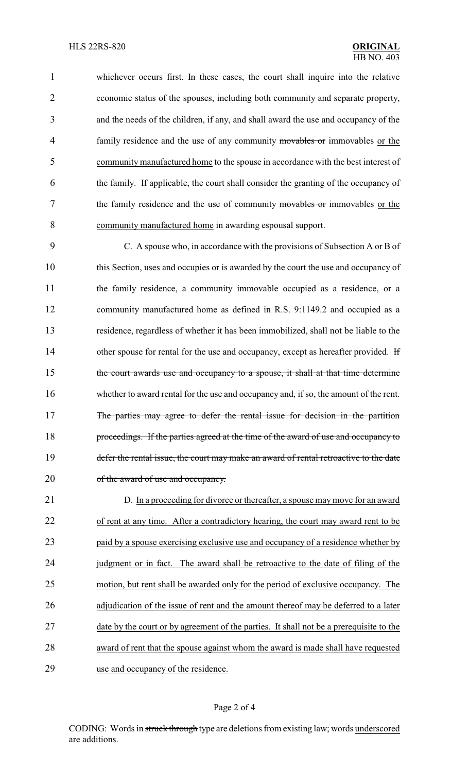whichever occurs first. In these cases, the court shall inquire into the relative economic status of the spouses, including both community and separate property, and the needs of the children, if any, and shall award the use and occupancy of the 4 family residence and the use of any community movables or immovables or the community manufactured home to the spouse in accordance with the best interest of the family. If applicable, the court shall consider the granting of the occupancy of 7 the family residence and the use of community movables or immovables or the community manufactured home in awarding espousal support.

9 C. A spouse who, in accordance with the provisions of Subsection A or B of 10 this Section, uses and occupies or is awarded by the court the use and occupancy of 11 the family residence, a community immovable occupied as a residence, or a 12 community manufactured home as defined in R.S. 9:1149.2 and occupied as a 13 residence, regardless of whether it has been immobilized, shall not be liable to the 14 other spouse for rental for the use and occupancy, except as hereafter provided. If 15 the court awards use and occupancy to a spouse, it shall at that time determine 16 whether to award rental for the use and occupancy and, if so, the amount of the rent. 17 The parties may agree to defer the rental issue for decision in the partition 18 proceedings. If the parties agreed at the time of the award of use and occupancy to 19 defer the rental issue, the court may make an award of rental retroactive to the date 20 of the award of use and occupancy.

 D. In a proceeding for divorce or thereafter, a spouse may move for an award of rent at any time. After a contradictory hearing, the court may award rent to be paid by a spouse exercising exclusive use and occupancy of a residence whether by 24 judgment or in fact. The award shall be retroactive to the date of filing of the motion, but rent shall be awarded only for the period of exclusive occupancy. The 26 adjudication of the issue of rent and the amount thereof may be deferred to a later 27 date by the court or by agreement of the parties. It shall not be a prerequisite to the award of rent that the spouse against whom the award is made shall have requested use and occupancy of the residence.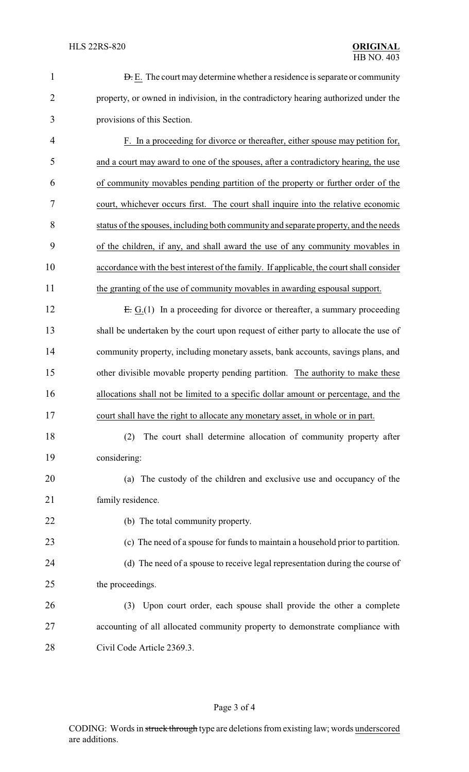| $\mathbf{1}$   | <b>D.</b> E. The court may determine whether a residence is separate or community        |
|----------------|------------------------------------------------------------------------------------------|
| $\overline{2}$ | property, or owned in indivision, in the contradictory hearing authorized under the      |
| 3              | provisions of this Section.                                                              |
| $\overline{4}$ | F. In a proceeding for divorce or thereafter, either spouse may petition for,            |
| 5              | and a court may award to one of the spouses, after a contradictory hearing, the use      |
| 6              | of community movables pending partition of the property or further order of the          |
| 7              | court, whichever occurs first. The court shall inquire into the relative economic        |
| 8              | status of the spouses, including both community and separate property, and the needs     |
| 9              | of the children, if any, and shall award the use of any community movables in            |
| 10             | accordance with the best interest of the family. If applicable, the court shall consider |
| 11             | the granting of the use of community movables in awarding espousal support.              |
| 12             | $E: G(1)$ In a proceeding for divorce or thereafter, a summary proceeding                |
| 13             | shall be undertaken by the court upon request of either party to allocate the use of     |
| 14             | community property, including monetary assets, bank accounts, savings plans, and         |
| 15             | other divisible movable property pending partition. The authority to make these          |
| 16             | allocations shall not be limited to a specific dollar amount or percentage, and the      |
| 17             | court shall have the right to allocate any monetary asset, in whole or in part.          |
| 18             | The court shall determine allocation of community property after<br>(2)                  |
| 19             | considering:                                                                             |
| 20             | (a) The custody of the children and exclusive use and occupancy of the                   |
| 21             | family residence.                                                                        |
| 22             | (b) The total community property.                                                        |
| 23             | (c) The need of a spouse for funds to maintain a household prior to partition.           |
| 24             | (d) The need of a spouse to receive legal representation during the course of            |
| 25             | the proceedings.                                                                         |
| 26             | (3) Upon court order, each spouse shall provide the other a complete                     |
| 27             | accounting of all allocated community property to demonstrate compliance with            |
| 28             | Civil Code Article 2369.3.                                                               |